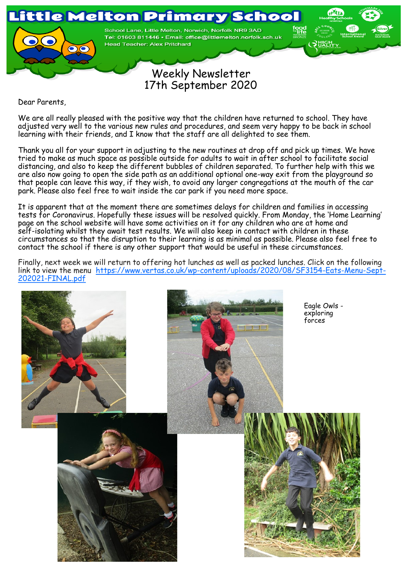

 Weekly Newsletter 17th September 2020

Dear Parents,

We are all really pleased with the positive way that the children have returned to school. They have adjusted very well to the various new rules and procedures, and seem very happy to be back in school learning with their friends, and I know that the staff are all delighted to see them.

Thank you all for your support in adjusting to the new routines at drop off and pick up times. We have tried to make as much space as possible outside for adults to wait in after school to facilitate social distancing, and also to keep the different bubbles of children separated. To further help with this we are also now going to open the side path as an additional optional one-way exit from the playground so that people can leave this way, if they wish, to avoid any larger congregations at the mouth of the car park. Please also feel free to wait inside the car park if you need more space.

It is apparent that at the moment there are sometimes delays for children and families in accessing tests for Coronavirus. Hopefully these issues will be resolved quickly. From Monday, the 'Home Learning' page on the school website will have some activities on it for any children who are at home and self-isolating whilst they await test results. We will also keep in contact with children in these circumstances so that the disruption to their learning is as minimal as possible. Please also feel free to contact the school if there is any other support that would be useful in these circumstances.

Finally, next week we will return to offering hot lunches as well as packed lunches. Click on the following link to view the menu https://www.vertas.co.uk/wp-[content/uploads/2020/08/SF3154](https://www.vertas.co.uk/wp-content/uploads/2020/08/SF3154-Eats-Menu-Sept-202021-FINAL.pdf)-Eats-Menu-Sept-202021-[FINAL.pdf](https://www.vertas.co.uk/wp-content/uploads/2020/08/SF3154-Eats-Menu-Sept-202021-FINAL.pdf)